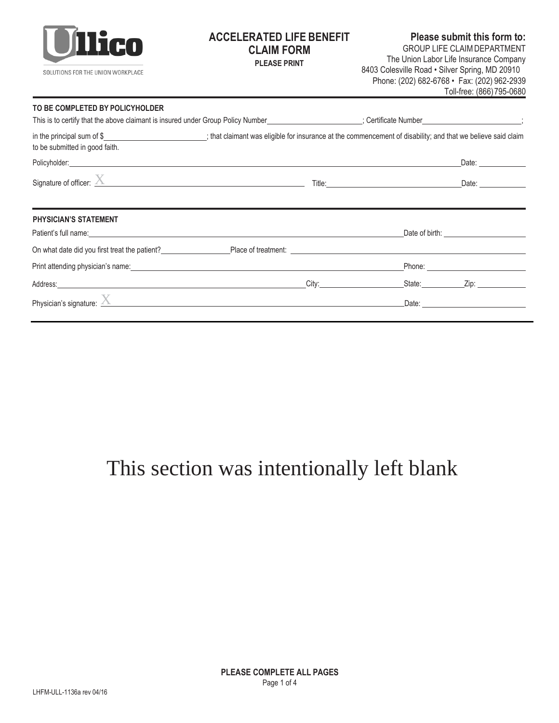

## **ACCELERATED LIFE BENEFIT CLAIM FORM**

**Please submit this form to:** GROUP LIFE CLAIMDEPARTMENT **PLEASE PRINT** The Union Labor Life Insurance Company 8403 Colesville Road • Silver Spring, MD 20910 Phone: (202) 682-6768 • Fax: (202) 962-2939 Toll-free: (866)795-0680

#### **TO BE COMPLETED BY POLICYHOLDER**

| This is to certify that the above claimant is insured under Group Policy Number____________________; Certificate Number________________;                                                                                                                             |  |                                                                                                                                                                                                                                |
|----------------------------------------------------------------------------------------------------------------------------------------------------------------------------------------------------------------------------------------------------------------------|--|--------------------------------------------------------------------------------------------------------------------------------------------------------------------------------------------------------------------------------|
| in the principal sum of \$_________________________; that claimant was eligible for insurance at the commencement of disability; and that we believe said claim<br>to be submitted in good faith.                                                                    |  |                                                                                                                                                                                                                                |
| Policyholder: experience of the contract of the contract of the contract of the contract of the contract of the contract of the contract of the contract of the contract of the contract of the contract of the contract of th                                       |  |                                                                                                                                                                                                                                |
|                                                                                                                                                                                                                                                                      |  |                                                                                                                                                                                                                                |
| <b>PHYSICIAN'S STATEMENT</b><br>Patient's full name: <u>contract and contract and contract and contract and contract and contract and contract and contract and contract and contract and contract and contract and contract and contract and contract and contr</u> |  | Date of birth: The contract of the contract of the contract of the contract of the contract of the contract of the contract of the contract of the contract of the contract of the contract of the contract of the contract of |
|                                                                                                                                                                                                                                                                      |  |                                                                                                                                                                                                                                |
|                                                                                                                                                                                                                                                                      |  |                                                                                                                                                                                                                                |
|                                                                                                                                                                                                                                                                      |  |                                                                                                                                                                                                                                |
| Physician's signature: $\sum$                                                                                                                                                                                                                                        |  | Date: Date:                                                                                                                                                                                                                    |

# This section was intentionally left blank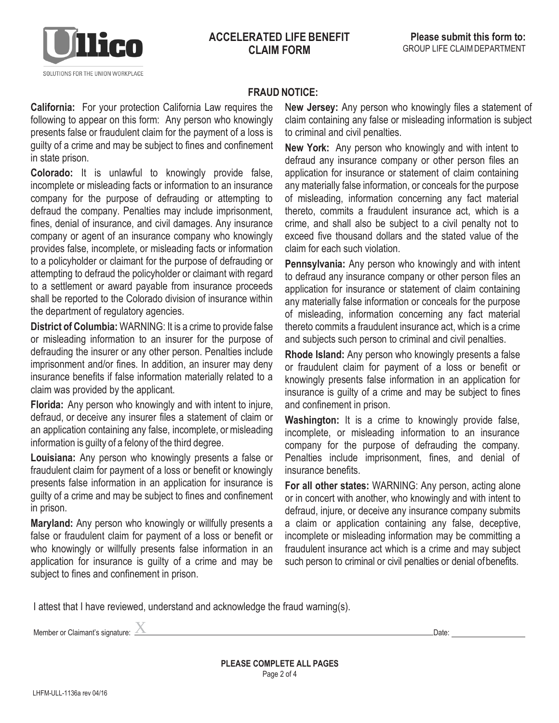

#### **FRAUD NOTICE:**

**California:** For your protection California Law requires the following to appear on this form: Any person who knowingly presents false or fraudulent claim for the payment of a loss is guilty of a crime and may be subject to fines and confinement in state prison.

**Colorado:** It is unlawful to knowingly provide false, incomplete or misleading facts or information to an insurance company for the purpose of defrauding or attempting to defraud the company. Penalties may include imprisonment, fines, denial of insurance, and civil damages. Any insurance company or agent of an insurance company who knowingly provides false, incomplete, or misleading facts or information to a policyholder or claimant for the purpose of defrauding or attempting to defraud the policyholder or claimant with regard to a settlement or award payable from insurance proceeds shall be reported to the Colorado division of insurance within the department of regulatory agencies.

**District of Columbia:** WARNING: It is a crime to provide false or misleading information to an insurer for the purpose of defrauding the insurer or any other person. Penalties include imprisonment and/or fines. In addition, an insurer may deny insurance benefits if false information materially related to a claim was provided by the applicant.

**Florida:** Any person who knowingly and with intent to injure, defraud, or deceive any insurer files a statement of claim or an application containing any false, incomplete, or misleading information is guilty of a felony of the third degree.

**Louisiana:** Any person who knowingly presents a false or fraudulent claim for payment of a loss or benefit or knowingly presents false information in an application for insurance is guilty of a crime and may be subject to fines and confinement in prison.

**Maryland:** Any person who knowingly or willfully presents a false or fraudulent claim for payment of a loss or benefit or who knowingly or willfully presents false information in an application for insurance is guilty of a crime and may be subject to fines and confinement in prison.

N**ew Jersey:** Any person who knowingly files a statement of claim containing any false or misleading information is subject to criminal and civil penalties.

**New York:** Any person who knowingly and with intent to defraud any insurance company or other person files an application for insurance or statement of claim containing any materially false information, or conceals for the purpose of misleading, information concerning any fact material thereto, commits a fraudulent insurance act, which is a crime, and shall also be subject to a civil penalty not to exceed five thousand dollars and the stated value of the claim for each such violation.

**Pennsylvania:** Any person who knowingly and with intent to defraud any insurance company or other person files an application for insurance or statement of claim containing any materially false information or conceals for the purpose of misleading, information concerning any fact material thereto commits a fraudulent insurance act, which is a crime and subjects such person to criminal and civil penalties.

**Rhode Island:** Any person who knowingly presents a false or fraudulent claim for payment of a loss or benefit or knowingly presents false information in an application for insurance is guilty of a crime and may be subject to fines and confinement in prison.

**Washington:** It is a crime to knowingly provide false, incomplete, or misleading information to an insurance company for the purpose of defrauding the company. Penalties include imprisonment, fines, and denial of insurance benefits.

**For all other states:** WARNING: Any person, acting alone or in concert with another, who knowingly and with intent to defraud, injure, or deceive any insurance company submits a claim or application containing any false, deceptive, incomplete or misleading information may be committing a fraudulent insurance act which is a crime and may subject such person to criminal or civil penalties or denial ofbenefits.

I attest that I have reviewed, understand and acknowledge the fraud warning(s).

Member or Claimant's signature: X Date: Date: Date: Date: Date: Date: Date: Date: Date: Date: Date: Date: Date: Date: Date: Date: Date: Date: Date: Date: Date: Date: Date: Date: Date: Date: Date: Date: Date: Date: Date: Da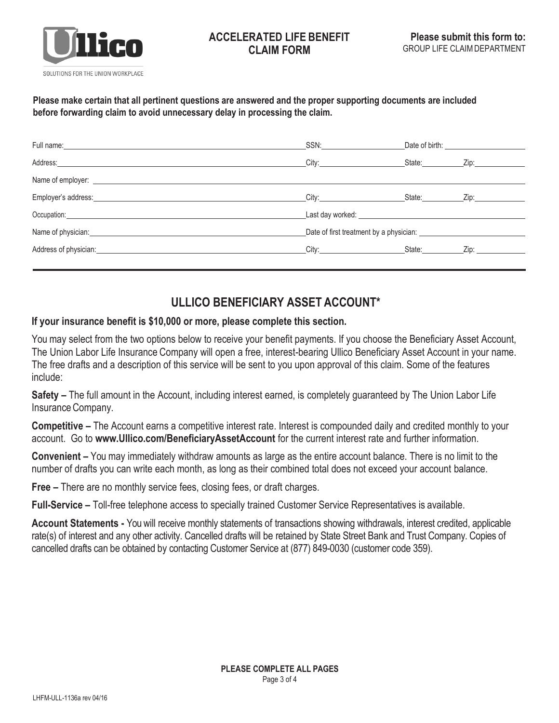

#### **ACCELERATED LIFE BENEFIT CLAIM FORM**

#### **Please make certain that all pertinent questions are answered and the proper supporting documents are included before forwarding claim to avoid unnecessary delay in processing the claim.**

| Full name: experience and the state of the state of the state of the state of the state of the state of the state of the state of the state of the state of the state of the state of the state of the state of the state of t | SSN:                                                                                                                                                                                                                           |  |                         |
|--------------------------------------------------------------------------------------------------------------------------------------------------------------------------------------------------------------------------------|--------------------------------------------------------------------------------------------------------------------------------------------------------------------------------------------------------------------------------|--|-------------------------|
| Address: Note that the contract of the contract of the contract of the contract of the contract of the contract of the contract of the contract of the contract of the contract of the contract of the contract of the contrac | City: the contract of the contract of the contract of the contract of the contract of the contract of the contract of the contract of the contract of the contract of the contract of the contract of the contract of the cont |  | State: <u>Zip:</u> Zip: |
|                                                                                                                                                                                                                                |                                                                                                                                                                                                                                |  |                         |
| Employer's address: example and the contract of the contract of the contract of the contract of the contract of the contract of the contract of the contract of the contract of the contract of the contract of the contract o |                                                                                                                                                                                                                                |  | State: <u>Zip:</u> Zip: |
| Occupation: <u>contract and contract and contract and contract and contract and contract and contract of the set</u>                                                                                                           | Last day worked: University of the state of the state of the state of the state of the state of the state of the state of the state of the state of the state of the state of the state of the state of the state of the state |  |                         |
| Name of physician: Name of physician:                                                                                                                                                                                          | Date of first treatment by a physician:                                                                                                                                                                                        |  |                         |
|                                                                                                                                                                                                                                | City: <b>City:</b>                                                                                                                                                                                                             |  | State: <u>Zip:</u> Zip: |
|                                                                                                                                                                                                                                |                                                                                                                                                                                                                                |  |                         |

### **ULLICO BENEFICIARY ASSET ACCOUNT\***

#### **If your insurance benefit is \$10,000 or more, please complete this section.**

You may select from the two options below to receive your benefit payments. If you choose the Beneficiary Asset Account, The Union Labor Life Insurance Company will open a free, interest-bearing Ullico Beneficiary Asset Account in your name. The free drafts and a description of this service will be sent to you upon approval of this claim. Some of the features include:

**Safety –** The full amount in the Account, including interest earned, is completely guaranteed by The Union Labor Life Insurance Company.

**Competitive –** The Account earns a competitive interest rate. Interest is compounded daily and credited monthly to your account. Go to **[www.Ullico.com/BeneficiaryAssetAccount](http://www.ullico.com/BeneficiaryAssetAccount)** for the current interest rate and further information.

**Convenient –** You may immediately withdraw amounts as large as the entire account balance. There is no limit to the number of drafts you can write each month, as long as their combined total does not exceed your account balance.

**Free –** There are no monthly service fees, closing fees, or draft charges.

**Full-Service –** Toll-free telephone access to specially trained Customer Service Representatives is available.

**Account Statements -** You will receive monthly statements of transactions showing withdrawals, interest credited, applicable rate(s) of interest and any other activity. Cancelled drafts will be retained by State Street Bank and Trust Company. Copies of cancelled drafts can be obtained by contacting Customer Service at (877) 849-0030 (customer code 359).